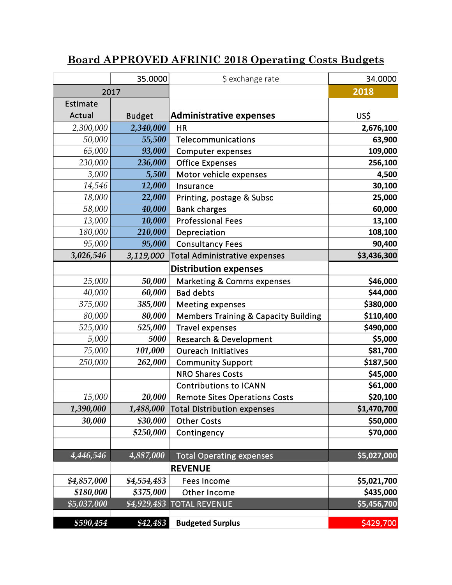## **Board APPROVED AFRINIC 2018 Operating Costs Budgets**

|             | 35.0000       | \$ exchange rate                                | 34.0000     |
|-------------|---------------|-------------------------------------------------|-------------|
| 2017        |               |                                                 | 2018        |
| Estimate    |               |                                                 |             |
| Actual      | <b>Budget</b> | <b>Administrative expenses</b>                  | US\$        |
| 2,300,000   | 2,340,000     | <b>HR</b>                                       | 2,676,100   |
| 50,000      | 55,500        | Telecommunications                              | 63,900      |
| 65,000      | 93,000        | <b>Computer expenses</b>                        | 109,000     |
| 230,000     | 236,000       | <b>Office Expenses</b>                          | 256,100     |
| 3,000       | 5,500         | Motor vehicle expenses                          | 4,500       |
| 14,546      | 12,000        | Insurance                                       | 30,100      |
| 18,000      | 22,000        | Printing, postage & Subsc                       | 25,000      |
| 58,000      | 40,000        | <b>Bank charges</b>                             | 60,000      |
| 13,000      | 10,000        | <b>Professional Fees</b>                        | 13,100      |
| 180,000     | 210,000       | Depreciation                                    | 108,100     |
| 95,000      | 95,000        | <b>Consultancy Fees</b>                         | 90,400      |
| 3,026,546   | 3,119,000     | <b>Total Administrative expenses</b>            | \$3,436,300 |
|             |               | <b>Distribution expenses</b>                    |             |
| 25,000      | 50,000        | <b>Marketing &amp; Comms expenses</b>           | \$46,000    |
| 40,000      | 60,000        | <b>Bad debts</b>                                | \$44,000    |
| 375,000     | 385,000       | <b>Meeting expenses</b>                         | \$380,000   |
| 80,000      | 80,000        | <b>Members Training &amp; Capacity Building</b> | \$110,400   |
| 525,000     | 525,000       | <b>Travel expenses</b>                          | \$490,000   |
| 5,000       | 5000          | <b>Research &amp; Development</b>               | \$5,000     |
| 75,000      | 101,000       | <b>Oureach Initiatives</b>                      | \$81,700    |
| 250,000     | 262,000       | <b>Community Support</b>                        | \$187,500   |
|             |               | <b>NRO Shares Costs</b>                         | \$45,000    |
|             |               | <b>Contributions to ICANN</b>                   | \$61,000    |
| 15,000      | 20,000        | <b>Remote Sites Operations Costs</b>            | \$20,100    |
| 1,390,000   | 1,488,000     | <b>Total Distribution expenses</b>              | \$1,470,700 |
| 30,000      | \$30,000      | <b>Other Costs</b>                              | \$50,000    |
|             | \$250,000     | Contingency                                     | \$70,000    |
|             |               |                                                 |             |
| 4,446,546   | 4,887,000     | <b>Total Operating expenses</b>                 | \$5,027,000 |
|             |               | <b>REVENUE</b>                                  |             |
| \$4,857,000 | \$4,554,483   | <b>Fees Income</b>                              | \$5,021,700 |
| \$180,000   | \$375,000     | Other Income                                    | \$435,000   |
| \$5,037,000 | \$4,929,483   | <b>TOTAL REVENUE</b>                            | \$5,456,700 |
| \$590,454   | \$42,483      | <b>Budgeted Surplus</b>                         | \$429,700   |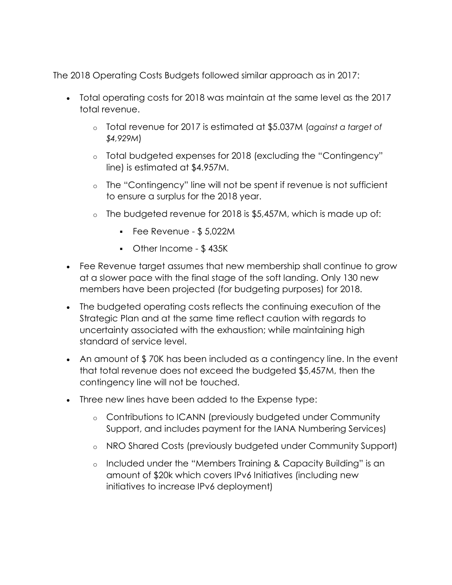The 2018 Operating Costs Budgets followed similar approach as in 2017:

- Total operating costs for 2018 was maintain at the same level as the 2017 total revenue.
	- o Total revenue for 2017 is estimated at \$5.037M (*against a target of \$4,929M*)
	- o Total budgeted expenses for 2018 (excluding the "Contingency" line) is estimated at \$4.957M.
	- o The "Contingency" line will not be spent if revenue is not sufficient to ensure a surplus for the 2018 year.
	- o The budgeted revenue for 2018 is \$5,457M, which is made up of:
		- $\blacksquare$  Fee Revenue \$5,022M
		- Other Income \$ 435K
- Fee Revenue target assumes that new membership shall continue to grow at a slower pace with the final stage of the soft landing. Only 130 new members have been projected (for budgeting purposes) for 2018.
- The budgeted operating costs reflects the continuing execution of the Strategic Plan and at the same time reflect caution with regards to uncertainty associated with the exhaustion; while maintaining high standard of service level.
- An amount of \$70K has been included as a contingency line. In the event that total revenue does not exceed the budgeted \$5,457M, then the contingency line will not be touched.
- Three new lines have been added to the Expense type:
	- o Contributions to ICANN (previously budgeted under Community Support, and includes payment for the IANA Numbering Services)
	- o NRO Shared Costs (previously budgeted under Community Support)
	- o Included under the "Members Training & Capacity Building" is an amount of \$20k which covers IPv6 Initiatives (including new initiatives to increase IPv6 deployment)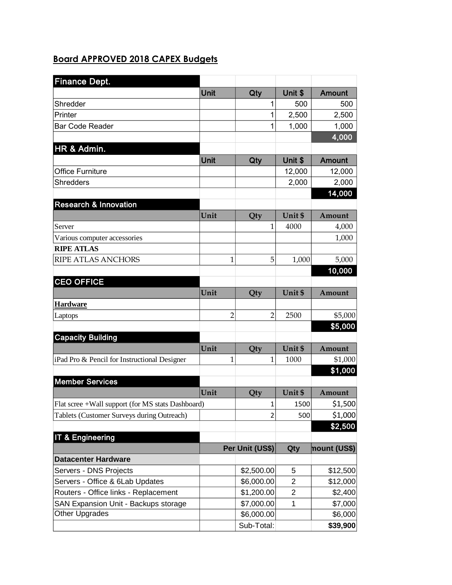## **Board APPROVED 2018 CAPEX Budgets**

| <b>Finance Dept.</b>                              |      |                                  |                |               |
|---------------------------------------------------|------|----------------------------------|----------------|---------------|
|                                                   | Unit | Qty                              | Unit \$        | <b>Amount</b> |
| Shredder                                          |      | 1                                | 500            | 500           |
| Printer                                           |      | 1                                | 2,500          | 2,500         |
| <b>Bar Code Reader</b>                            |      | 1                                | 1,000          | 1,000         |
|                                                   |      |                                  |                | 4,000         |
| HR & Admin.                                       |      |                                  |                |               |
|                                                   | Unit | Qty                              | Unit \$        | <b>Amount</b> |
| <b>Office Furniture</b>                           |      |                                  | 12,000         | 12,000        |
| Shredders                                         |      |                                  | 2,000          | 2,000         |
|                                                   |      |                                  |                | 14,000        |
| <b>Research &amp; Innovation</b>                  |      |                                  |                |               |
|                                                   | Unit | Qty                              | Unit \$        | Amount        |
| Server                                            |      | 1                                | 4000           | 4,000         |
| Various computer accessories                      |      |                                  |                | 1,000         |
| <b>RIPE ATLAS</b>                                 |      |                                  |                |               |
| <b>RIPE ATLAS ANCHORS</b>                         |      | 5<br>1                           | 1,000          | 5,000         |
|                                                   |      |                                  |                | 10,000        |
| <b>CEO OFFICE</b>                                 |      |                                  |                |               |
|                                                   | Unit | Qty                              | Unit \$        | Amount        |
| <b>Hardware</b>                                   |      |                                  |                |               |
| Laptops                                           |      | $\overline{2}$<br>$\overline{2}$ | 2500           | \$5,000       |
|                                                   |      |                                  |                | \$5,000       |
| <b>Capacity Building</b>                          |      |                                  |                |               |
|                                                   | Unit | Qty                              | Unit \$        | Amount        |
| iPad Pro & Pencil for Instructional Designer      |      | 1<br>1                           | 1000           | \$1,000       |
|                                                   |      |                                  |                | \$1,000       |
| <b>Member Services</b>                            |      |                                  |                |               |
|                                                   | Unit | Qty                              | Unit \$        | Amount        |
| Flat scree +Wall support (for MS stats Dashboard) |      | $\mathbf 1$                      | 1500           | \$1,500       |
| Tablets (Customer Surveys during Outreach)        |      | $\overline{2}$                   | 500            | \$1,000       |
|                                                   |      |                                  |                | \$2,500       |
| IT & Engineering                                  |      |                                  |                |               |
|                                                   |      | Per Unit (US\$)                  | Qty            | nount (US\$)  |
| <b>Datacenter Hardware</b>                        |      |                                  |                |               |
| Servers - DNS Projects                            |      | \$2,500.00                       | 5              | \$12,500      |
| Servers - Office & 6Lab Updates                   |      | \$6,000.00                       | $\overline{2}$ | \$12,000      |
| Routers - Office links - Replacement              |      | \$1,200.00                       | $\overline{2}$ | \$2,400       |
| SAN Expansion Unit - Backups storage              |      | \$7,000.00                       | 1              | \$7,000       |
| Other Upgrades                                    |      | \$6,000.00                       |                | \$6,000       |
|                                                   |      | Sub-Total:                       |                | \$39,900      |